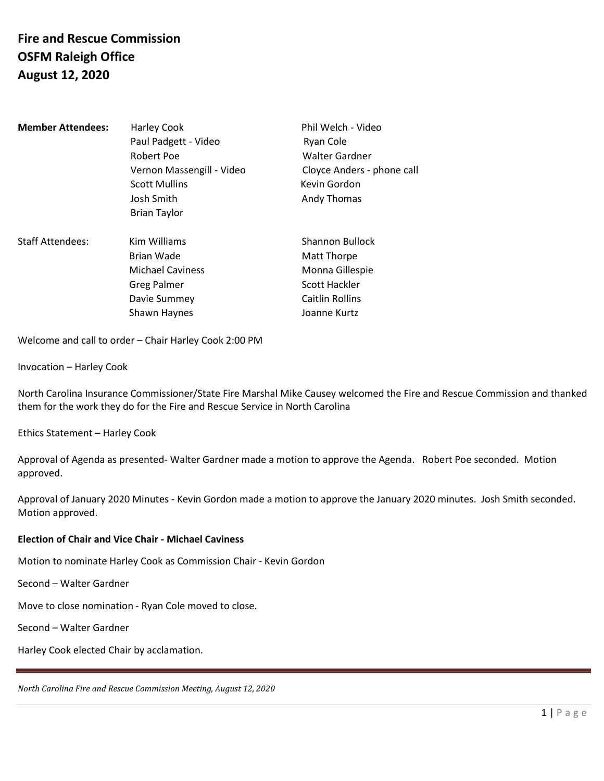## **Fire and Rescue Commission OSFM Raleigh Office August 12, 2020**

| <b>Member Attendees:</b> | Harley Cook<br>Paul Padgett - Video<br>Robert Poe<br>Vernon Massengill - Video<br><b>Scott Mullins</b><br>Josh Smith<br><b>Brian Taylor</b> | Phil Welch - Video<br>Ryan Cole<br><b>Walter Gardner</b><br>Cloyce Anders - phone call<br>Kevin Gordon<br>Andy Thomas |
|--------------------------|---------------------------------------------------------------------------------------------------------------------------------------------|-----------------------------------------------------------------------------------------------------------------------|
| <b>Staff Attendees:</b>  | Kim Williams<br>Brian Wade<br><b>Michael Caviness</b><br><b>Greg Palmer</b><br>Davie Summey<br>Shawn Haynes                                 | Shannon Bullock<br>Matt Thorpe<br>Monna Gillespie<br><b>Scott Hackler</b><br><b>Caitlin Rollins</b><br>Joanne Kurtz   |

Welcome and call to order – Chair Harley Cook 2:00 PM

Invocation – Harley Cook

North Carolina Insurance Commissioner/State Fire Marshal Mike Causey welcomed the Fire and Rescue Commission and thanked them for the work they do for the Fire and Rescue Service in North Carolina

Ethics Statement – Harley Cook

Approval of Agenda as presented- Walter Gardner made a motion to approve the Agenda. Robert Poe seconded. Motion approved.

Approval of January 2020 Minutes - Kevin Gordon made a motion to approve the January 2020 minutes. Josh Smith seconded. Motion approved.

#### **Election of Chair and Vice Chair - Michael Caviness**

Motion to nominate Harley Cook as Commission Chair - Kevin Gordon

Second – Walter Gardner

Move to close nomination - Ryan Cole moved to close.

Second – Walter Gardner

Harley Cook elected Chair by acclamation.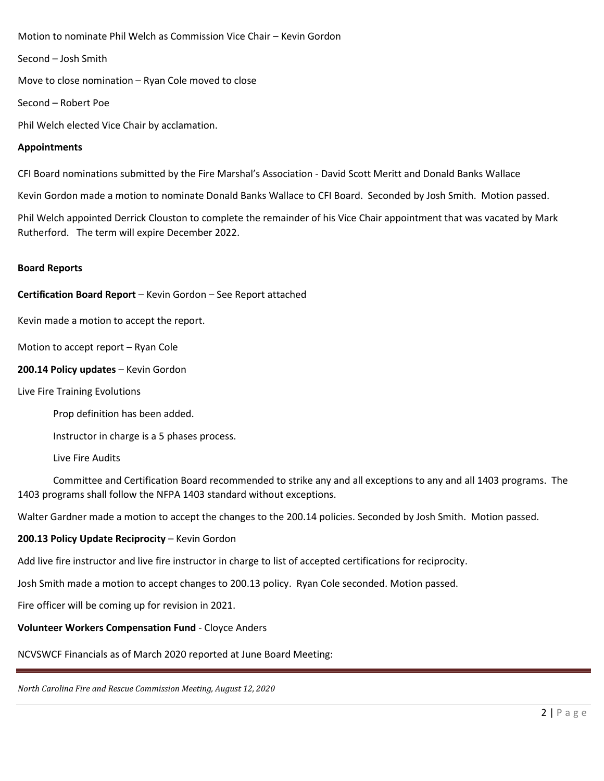Motion to nominate Phil Welch as Commission Vice Chair – Kevin Gordon

Second – Josh Smith

Move to close nomination – Ryan Cole moved to close

Second – Robert Poe

Phil Welch elected Vice Chair by acclamation.

#### **Appointments**

CFI Board nominations submitted by the Fire Marshal's Association - David Scott Meritt and Donald Banks Wallace

Kevin Gordon made a motion to nominate Donald Banks Wallace to CFI Board. Seconded by Josh Smith. Motion passed.

Phil Welch appointed Derrick Clouston to complete the remainder of his Vice Chair appointment that was vacated by Mark Rutherford. The term will expire December 2022.

#### **Board Reports**

#### **Certification Board Report** – Kevin Gordon – See Report attached

Kevin made a motion to accept the report.

Motion to accept report – Ryan Cole

#### **200.14 Policy updates** – Kevin Gordon

Live Fire Training Evolutions

Prop definition has been added.

Instructor in charge is a 5 phases process.

Live Fire Audits

Committee and Certification Board recommended to strike any and all exceptions to any and all 1403 programs. The 1403 programs shall follow the NFPA 1403 standard without exceptions.

Walter Gardner made a motion to accept the changes to the 200.14 policies. Seconded by Josh Smith. Motion passed.

#### **200.13 Policy Update Reciprocity** – Kevin Gordon

Add live fire instructor and live fire instructor in charge to list of accepted certifications for reciprocity.

Josh Smith made a motion to accept changes to 200.13 policy. Ryan Cole seconded. Motion passed.

Fire officer will be coming up for revision in 2021.

**Volunteer Workers Compensation Fund** - Cloyce Anders

NCVSWCF Financials as of March 2020 reported at June Board Meeting: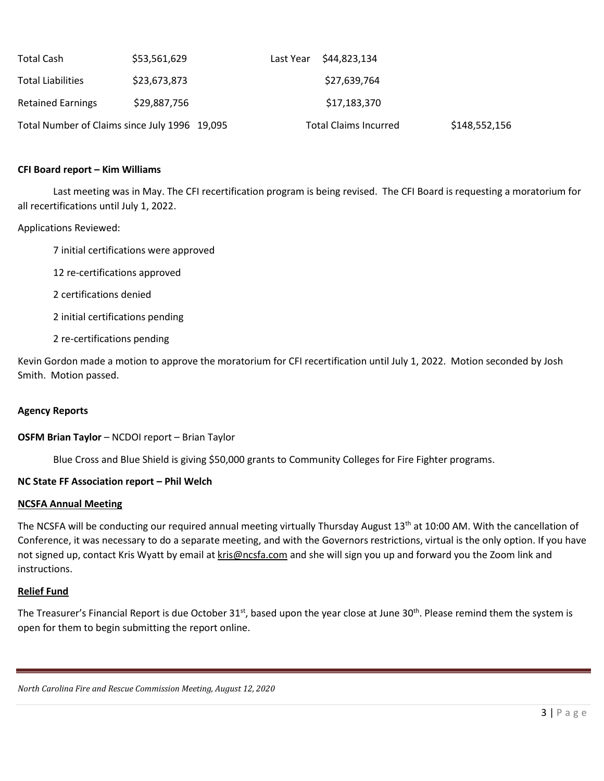| Total Cash               | \$53,561,629                                  | Last Year \$44,823,134       |               |
|--------------------------|-----------------------------------------------|------------------------------|---------------|
| <b>Total Liabilities</b> | \$23,673,873                                  | \$27,639,764                 |               |
| <b>Retained Earnings</b> | \$29,887,756                                  | \$17,183,370                 |               |
|                          | Total Number of Claims since July 1996 19,095 | <b>Total Claims Incurred</b> | \$148,552,156 |

#### **CFI Board report – Kim Williams**

Last meeting was in May. The CFI recertification program is being revised. The CFI Board is requesting a moratorium for all recertifications until July 1, 2022.

Applications Reviewed:

7 initial certifications were approved

12 re-certifications approved

2 certifications denied

2 initial certifications pending

2 re-certifications pending

Kevin Gordon made a motion to approve the moratorium for CFI recertification until July 1, 2022. Motion seconded by Josh Smith. Motion passed.

#### **Agency Reports**

#### **OSFM Brian Taylor** – NCDOI report – Brian Taylor

Blue Cross and Blue Shield is giving \$50,000 grants to Community Colleges for Fire Fighter programs.

#### **NC State FF Association report – Phil Welch**

#### **NCSFA Annual Meeting**

The NCSFA will be conducting our required annual meeting virtually Thursday August 13<sup>th</sup> at 10:00 AM. With the cancellation of Conference, it was necessary to do a separate meeting, and with the Governors restrictions, virtual is the only option. If you have not signed up, contact Kris Wyatt by email a[t kris@ncsfa.com](mailto:kris@ncsfa.com) and she will sign you up and forward you the Zoom link and instructions.

#### **Relief Fund**

The Treasurer's Financial Report is due October 31<sup>st</sup>, based upon the year close at June 30<sup>th</sup>. Please remind them the system is open for them to begin submitting the report online.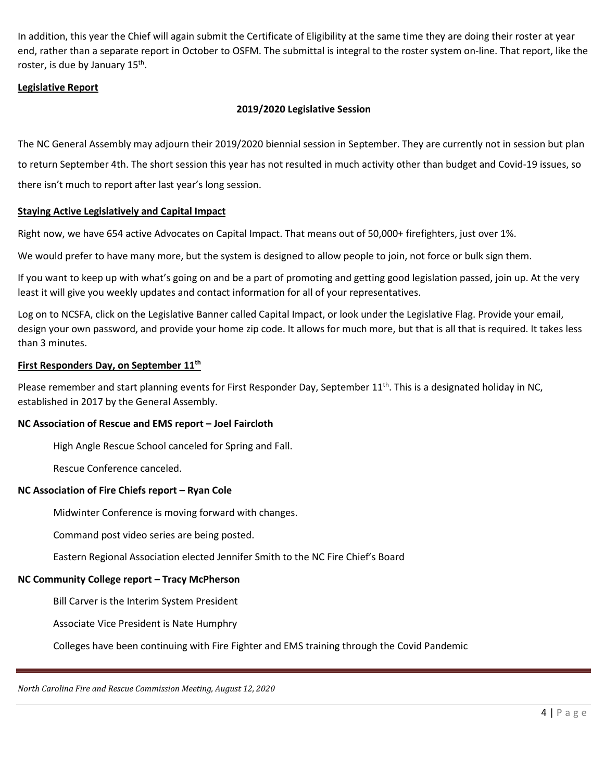In addition, this year the Chief will again submit the Certificate of Eligibility at the same time they are doing their roster at year end, rather than a separate report in October to OSFM. The submittal is integral to the roster system on-line. That report, like the roster, is due by January 15<sup>th</sup>.

#### **Legislative Report**

#### **2019/2020 Legislative Session**

The NC General Assembly may adjourn their 2019/2020 biennial session in September. They are currently not in session but plan to return September 4th. The short session this year has not resulted in much activity other than budget and Covid-19 issues, so there isn't much to report after last year's long session.

#### **Staying Active Legislatively and Capital Impact**

Right now, we have 654 active Advocates on Capital Impact. That means out of 50,000+ firefighters, just over 1%.

We would prefer to have many more, but the system is designed to allow people to join, not force or bulk sign them.

If you want to keep up with what's going on and be a part of promoting and getting good legislation passed, join up. At the very least it will give you weekly updates and contact information for all of your representatives.

Log on to NCSFA, click on the Legislative Banner called Capital Impact, or look under the Legislative Flag. Provide your email, design your own password, and provide your home zip code. It allows for much more, but that is all that is required. It takes less than 3 minutes.

#### **First Responders Day, on September 11th**

Please remember and start planning events for First Responder Day, September 11<sup>th</sup>. This is a designated holiday in NC, established in 2017 by the General Assembly.

#### **NC Association of Rescue and EMS report – Joel Faircloth**

High Angle Rescue School canceled for Spring and Fall.

Rescue Conference canceled.

#### **NC Association of Fire Chiefs report – Ryan Cole**

Midwinter Conference is moving forward with changes.

Command post video series are being posted.

Eastern Regional Association elected Jennifer Smith to the NC Fire Chief's Board

## **NC Community College report – Tracy McPherson**

Bill Carver is the Interim System President

Associate Vice President is Nate Humphry

Colleges have been continuing with Fire Fighter and EMS training through the Covid Pandemic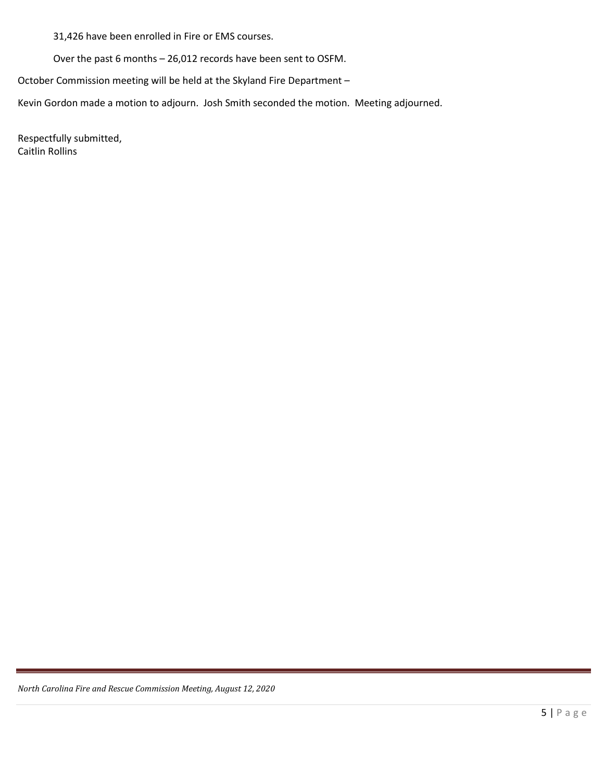31,426 have been enrolled in Fire or EMS courses.

Over the past 6 months – 26,012 records have been sent to OSFM.

October Commission meeting will be held at the Skyland Fire Department –

Kevin Gordon made a motion to adjourn. Josh Smith seconded the motion. Meeting adjourned.

Respectfully submitted, Caitlin Rollins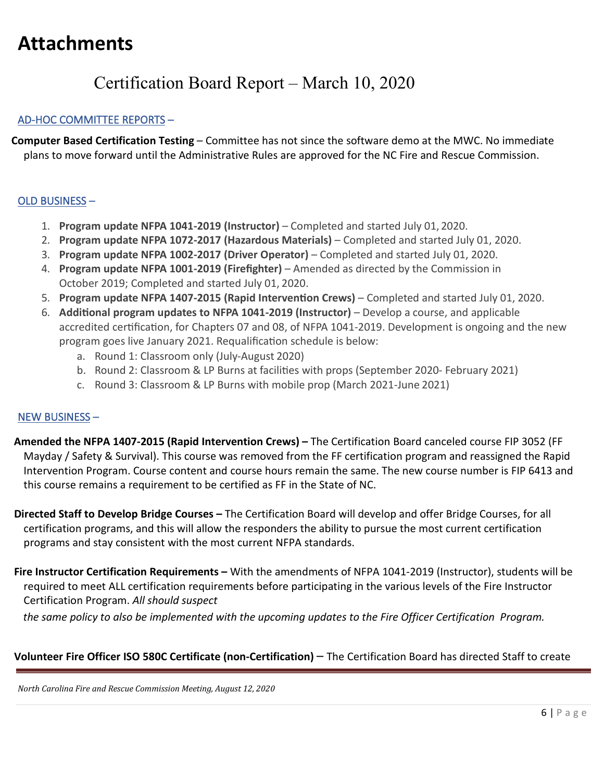# **Attachments**

# Certification Board Report – March 10, 2020

## AD-HOC COMMITTEE REPORTS –

 **Computer Based Certification Testing** – Committee has not since the software demo at the MWC. No immediate plans to move forward until the Administrative Rules are approved for the NC Fire and Rescue Commission.

## OLD BUSINESS –

- 1. **Program update NFPA 1041-2019 (Instructor)**  Completed and started July 01, 2020.
- 2. **Program update NFPA 1072-2017 (Hazardous Materials)**  Completed and started July 01, 2020.
- 3. **Program update NFPA 1002-2017 (Driver Operator)**  Completed and started July 01, 2020.
- 4. **Program update NFPA 1001-2019 (Firefighter)**  Amended as directed by the Commission in October 2019; Completed and started July 01, 2020.
- 5. **Program update NFPA 1407-2015 (Rapid Interven�on Crews)**  Completed and started July 01, 2020.
- 6. **Addi�onal program updates to NFPA 1041-2019 (Instructor)**  Develop a course, and applicable accredited certification, for Chapters 07 and 08, of NFPA 1041-2019. Development is ongoing and the new program goes live January 2021. Requalification schedule is below:
	- a. Round 1: Classroom only (July-August 2020)
	- b. Round 2: Classroom & LP Burns at facilities with props (September 2020- February 2021)
	- c. Round 3: Classroom & LP Burns with mobile prop (March 2021-June 2021)

### NEW BUSINESS –

- **Amended the NFPA 1407-2015 (Rapid Intervention Crews) –** The Certification Board canceled course FIP 3052 (FF Mayday / Safety & Survival). This course was removed from the FF certification program and reassigned the Rapid Intervention Program. Course content and course hours remain the same. The new course number is FIP 6413 and this course remains a requirement to be certified as FF in the State of NC.
- **Directed Staff to Develop Bridge Courses –** The Certification Board will develop and offer Bridge Courses, for all certification programs, and this will allow the responders the ability to pursue the most current certification programs and stay consistent with the most current NFPA standards.
- **Fire Instructor Certification Requirements –** With the amendments of NFPA 1041-2019 (Instructor), students will be required to meet ALL certification requirements before participating in the various levels of the Fire Instructor Certification Program. *All should suspect*

 *the same policy to also be implemented with the upcoming updates to the Fire Officer Certification Program.*

## **Volunteer Fire Officer ISO 580C Certificate (non-Certification)** – The Certification Board has directed Staff to create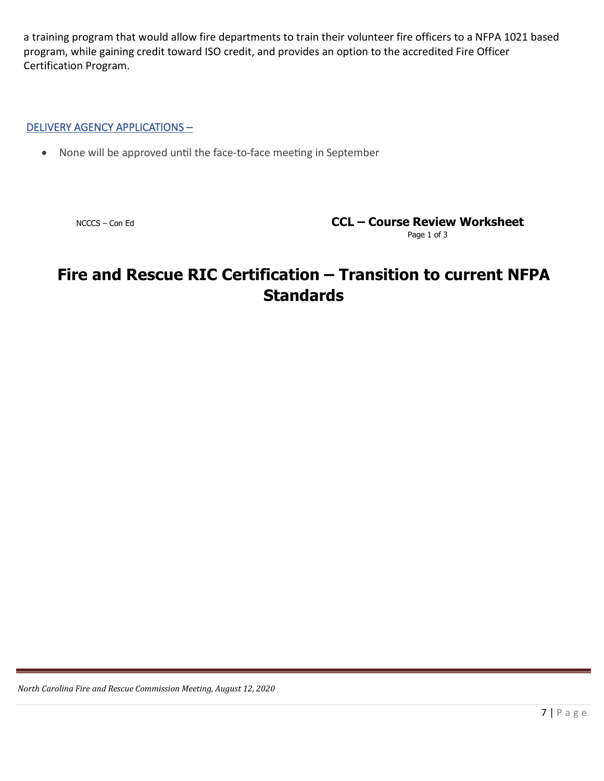a training program that would allow fire departments to train their volunteer fire officers to a NFPA 1021 based program, while gaining credit toward ISO credit, and provides an option to the accredited Fire Officer Certification Program.

### DELIVERY AGENCY APPLICATIONS –

• None will be approved until the face-to-face meeting in September

NCCCS – Con Ed **CCL – Course Review Worksheet**

Page 1 of 3

# **Fire and Rescue RIC Certification – Transition to current NFPA Standards**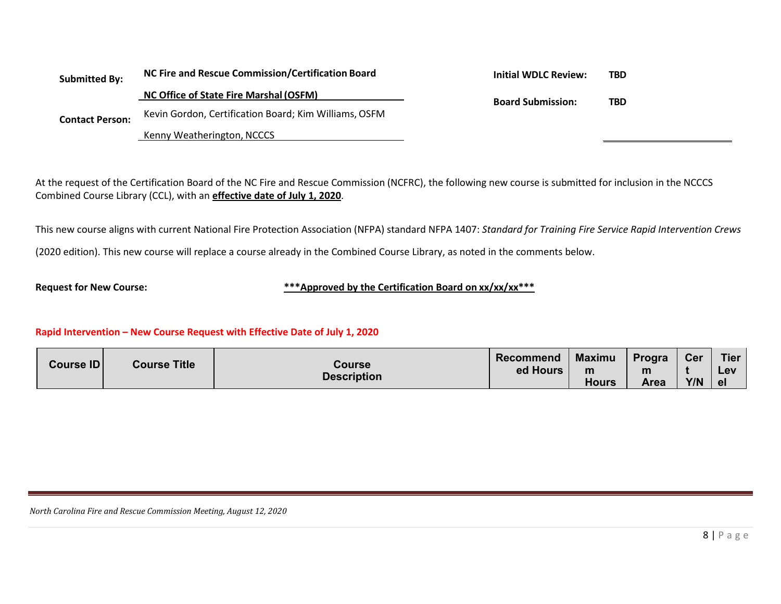| <b>Submitted By:</b><br><b>Contact Person:</b> | NC Fire and Rescue Commission/Certification Board     | <b>Initial WDLC Review:</b> | TBD |
|------------------------------------------------|-------------------------------------------------------|-----------------------------|-----|
|                                                | NC Office of State Fire Marshal (OSFM)                | <b>Board Submission:</b>    |     |
|                                                | Kevin Gordon, Certification Board; Kim Williams, OSFM |                             | TBD |
|                                                | Kenny Weatherington, NCCCS                            |                             |     |

At the request of the Certification Board of the NC Fire and Rescue Commission (NCFRC), the following new course is submitted for inclusion in the NCCCS Combined Course Library (CCL), with an **effective date of July 1, 2020**.

This new course aligns with current National Fire Protection Association (NFPA) standard NFPA 1407: *Standard for Training Fire Service Rapid Intervention Crews* (2020 edition). This new course will replace a course already in the Combined Course Library, as noted in the comments below.

**Request for New Course: \*\*\*Approved by the Certification Board on xx/xx/xx\*\*\***

#### **Rapid Intervention – New Course Request with Effective Date of July 1, 2020**

| Course ID          | <b>Course Title</b> | Course | Recommend    | <b>Maximu</b> | Progra | <b>Cer</b> | <b>Tier</b> |
|--------------------|---------------------|--------|--------------|---------------|--------|------------|-------------|
|                    |                     |        | ed Hours     | m             | m      |            | Lev         |
| <b>Description</b> |                     |        | <b>Hours</b> | Area          | Y/N    | el         |             |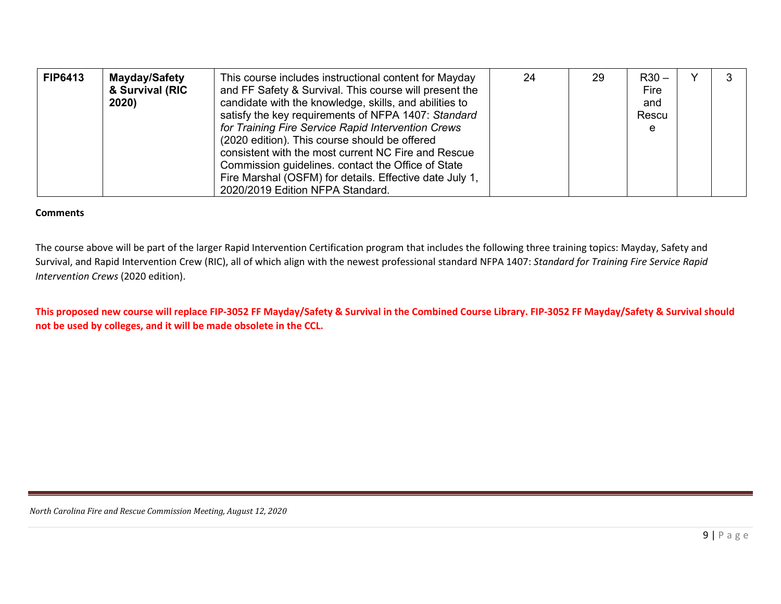| <b>FIP6413</b> | Mayday/Safety<br>& Survival (RIC<br>2020) | This course includes instructional content for Mayday<br>and FF Safety & Survival. This course will present the<br>candidate with the knowledge, skills, and abilities to<br>satisfy the key requirements of NFPA 1407: Standard<br>for Training Fire Service Rapid Intervention Crews<br>(2020 edition). This course should be offered<br>consistent with the most current NC Fire and Rescue<br>Commission guidelines. contact the Office of State<br>Fire Marshal (OSFM) for details. Effective date July 1,<br>2020/2019 Edition NFPA Standard. | 24 | 29 | $R30 -$<br>Fire<br>and<br>Rescu<br>e |  |  |
|----------------|-------------------------------------------|-----------------------------------------------------------------------------------------------------------------------------------------------------------------------------------------------------------------------------------------------------------------------------------------------------------------------------------------------------------------------------------------------------------------------------------------------------------------------------------------------------------------------------------------------------|----|----|--------------------------------------|--|--|
|----------------|-------------------------------------------|-----------------------------------------------------------------------------------------------------------------------------------------------------------------------------------------------------------------------------------------------------------------------------------------------------------------------------------------------------------------------------------------------------------------------------------------------------------------------------------------------------------------------------------------------------|----|----|--------------------------------------|--|--|

#### **Comments**

The course above will be part of the larger Rapid Intervention Certification program that includes the following three training topics: Mayday, Safety and Survival, and Rapid Intervention Crew (RIC), all of which align with the newest professional standard NFPA 1407: *Standard for Training Fire Service Rapid Intervention Crews* (2020 edition).

**This proposed new course will replace FIP-3052 FF Mayday/Safety & Survival in the Combined Course Library. FIP-3052 FF Mayday/Safety & Survival should not be used by colleges, and it will be made obsolete in the CCL.**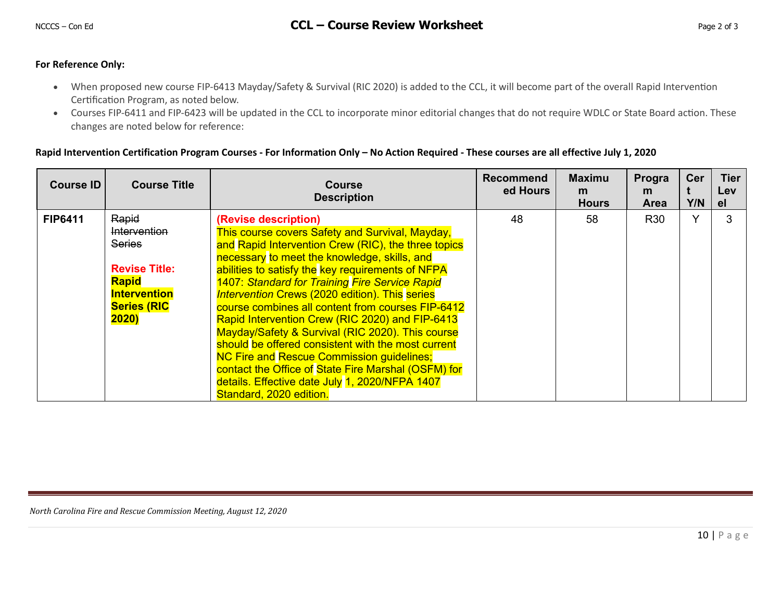#### **For Reference Only:**

- When proposed new course FIP-6413 Mayday/Safety & Survival (RIC 2020) is added to the CCL, it will become part of the overall Rapid Intervention Certification Program, as noted below.
- Courses FIP-6411 and FIP-6423 will be updated in the CCL to incorporate minor editorial changes that do not require WDLC or State Board action. These changes are noted below for reference:

#### **Rapid Intervention Certification Program Courses - For Information Only – No Action Required - These courses are all effective July 1, 2020**

| Course ID      | <b>Course Title</b>                                                                                                                         | <b>Course</b><br><b>Description</b>                                                                                                                                                                                                                                                                                                                                                                                                                                                                                                                                                                                                                                                                                                                      | <b>Recommend</b><br>ed Hours | <b>Maximu</b><br>m<br><b>Hours</b> | Progra<br>m.<br><b>Area</b> | Cer<br>Y/N   | <b>Tier</b><br><b>Lev</b><br>el. |
|----------------|---------------------------------------------------------------------------------------------------------------------------------------------|----------------------------------------------------------------------------------------------------------------------------------------------------------------------------------------------------------------------------------------------------------------------------------------------------------------------------------------------------------------------------------------------------------------------------------------------------------------------------------------------------------------------------------------------------------------------------------------------------------------------------------------------------------------------------------------------------------------------------------------------------------|------------------------------|------------------------------------|-----------------------------|--------------|----------------------------------|
| <b>FIP6411</b> | Rapid<br><b>Intervention</b><br><b>Series</b><br><b>Revise Title:</b><br><b>Rapid</b><br><b>Intervention</b><br><b>Series (RIC</b><br>2020) | (Revise description)<br>This course covers Safety and Survival, Mayday,<br>and Rapid Intervention Crew (RIC), the three topics<br>necessary to meet the knowledge, skills, and<br>abilities to satisfy the key requirements of NFPA<br>1407: Standard for Training Fire Service Rapid<br><b>Intervention Crews (2020 edition). This series</b><br>course combines all content from courses FIP-6412<br>Rapid Intervention Crew (RIC 2020) and FIP-6413<br>Mayday/Safety & Survival (RIC 2020). This course<br>should be offered consistent with the most current<br><b>NC Fire and Rescue Commission guidelines;</b><br>contact the Office of State Fire Marshal (OSFM) for<br>details. Effective date July 1, 2020/NFPA 1407<br>Standard, 2020 edition. | 48                           | 58                                 | R <sub>30</sub>             | $\checkmark$ | 3                                |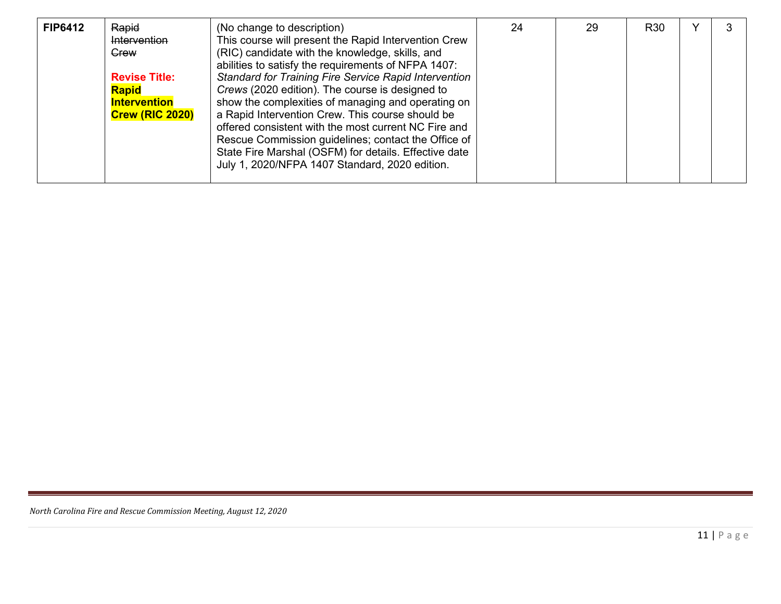| <b>FIP6412</b> | Rapid<br>Intervention<br>Grew<br><b>Revise Title:</b><br><b>Rapid</b><br><b>Intervention</b><br><b>Crew (RIC 2020)</b> | (No change to description)<br>This course will present the Rapid Intervention Crew<br>(RIC) candidate with the knowledge, skills, and<br>abilities to satisfy the requirements of NFPA 1407:<br>Standard for Training Fire Service Rapid Intervention<br>Crews (2020 edition). The course is designed to<br>show the complexities of managing and operating on<br>a Rapid Intervention Crew. This course should be<br>offered consistent with the most current NC Fire and<br>Rescue Commission guidelines; contact the Office of<br>State Fire Marshal (OSFM) for details. Effective date<br>July 1, 2020/NFPA 1407 Standard, 2020 edition. | 24 | 29 | <b>R30</b> |  | 3 |
|----------------|------------------------------------------------------------------------------------------------------------------------|----------------------------------------------------------------------------------------------------------------------------------------------------------------------------------------------------------------------------------------------------------------------------------------------------------------------------------------------------------------------------------------------------------------------------------------------------------------------------------------------------------------------------------------------------------------------------------------------------------------------------------------------|----|----|------------|--|---|
|----------------|------------------------------------------------------------------------------------------------------------------------|----------------------------------------------------------------------------------------------------------------------------------------------------------------------------------------------------------------------------------------------------------------------------------------------------------------------------------------------------------------------------------------------------------------------------------------------------------------------------------------------------------------------------------------------------------------------------------------------------------------------------------------------|----|----|------------|--|---|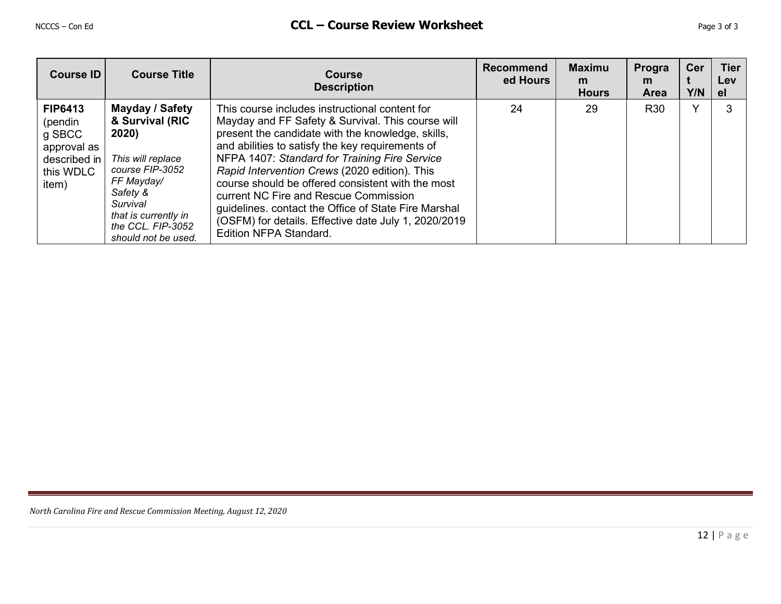| Course ID                                                                                | <b>Course Title</b>                                                                                                                                                                           | <b>Course</b><br><b>Description</b>                                                                                                                                                                                                                                                                                                                                                                                                                                                                                                                           | <b>Recommend</b><br>ed Hours | <b>Maximu</b><br>m<br><b>Hours</b> | Progra<br>m<br><b>Area</b> | Cer<br>Y/N   | <b>Tier</b><br>Lev<br><b>el</b> |
|------------------------------------------------------------------------------------------|-----------------------------------------------------------------------------------------------------------------------------------------------------------------------------------------------|---------------------------------------------------------------------------------------------------------------------------------------------------------------------------------------------------------------------------------------------------------------------------------------------------------------------------------------------------------------------------------------------------------------------------------------------------------------------------------------------------------------------------------------------------------------|------------------------------|------------------------------------|----------------------------|--------------|---------------------------------|
| <b>FIP6413</b><br>(pendin<br>g SBCC<br>approval as<br>described in<br>this WDLC<br>item) | Mayday / Safety<br>& Survival (RIC<br>2020)<br>This will replace<br>course FIP-3052<br>FF Mayday/<br>Safety &<br>Survival<br>that is currently in<br>the CCL. FIP-3052<br>should not be used. | This course includes instructional content for<br>Mayday and FF Safety & Survival. This course will<br>present the candidate with the knowledge, skills,<br>and abilities to satisfy the key requirements of<br>NFPA 1407: Standard for Training Fire Service<br>Rapid Intervention Crews (2020 edition). This<br>course should be offered consistent with the most<br>current NC Fire and Rescue Commission<br>guidelines. contact the Office of State Fire Marshal<br>(OSFM) for details. Effective date July 1, 2020/2019<br><b>Edition NFPA Standard.</b> | 24                           | 29                                 | <b>R30</b>                 | $\checkmark$ | 3                               |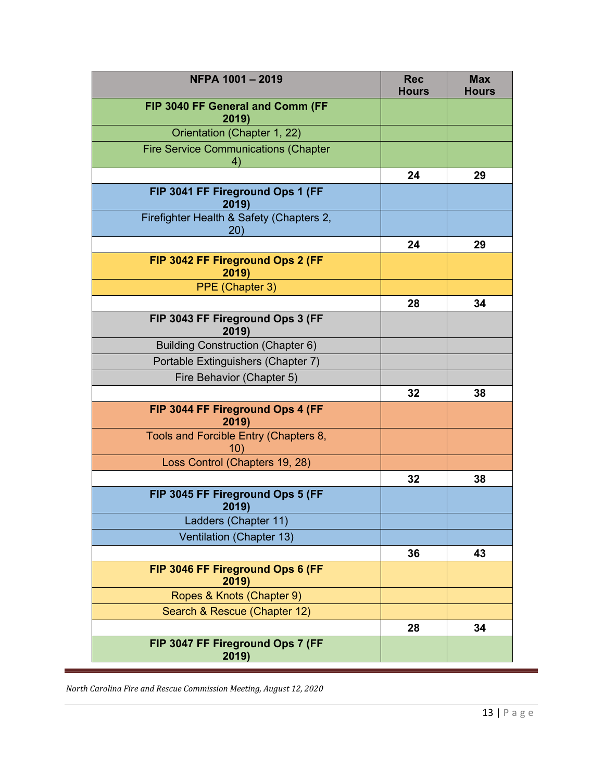| NFPA 1001-2019                                    | <b>Rec</b><br><b>Hours</b> | <b>Max</b><br><b>Hours</b> |
|---------------------------------------------------|----------------------------|----------------------------|
| FIP 3040 FF General and Comm (FF<br>2019)         |                            |                            |
| Orientation (Chapter 1, 22)                       |                            |                            |
| <b>Fire Service Communications (Chapter</b><br>4) |                            |                            |
|                                                   | 24                         | 29                         |
| FIP 3041 FF Fireground Ops 1 (FF<br>2019)         |                            |                            |
| Firefighter Health & Safety (Chapters 2,<br>(20)  |                            |                            |
|                                                   | 24                         | 29                         |
| FIP 3042 FF Fireground Ops 2 (FF<br>2019)         |                            |                            |
| PPE (Chapter 3)                                   |                            |                            |
|                                                   | 28                         | 34                         |
| FIP 3043 FF Fireground Ops 3 (FF<br>2019)         |                            |                            |
| <b>Building Construction (Chapter 6)</b>          |                            |                            |
| Portable Extinguishers (Chapter 7)                |                            |                            |
| Fire Behavior (Chapter 5)                         |                            |                            |
|                                                   | 32                         | 38                         |
| FIP 3044 FF Fireground Ops 4 (FF<br>2019)         |                            |                            |
| Tools and Forcible Entry (Chapters 8,<br>10)      |                            |                            |
| Loss Control (Chapters 19, 28)                    |                            |                            |
|                                                   | 32                         | 38                         |
| FIP 3045 FF Fireground Ops 5 (FF<br>2019)         |                            |                            |
| Ladders (Chapter 11)                              |                            |                            |
| Ventilation (Chapter 13)                          |                            |                            |
|                                                   | 36                         | 43                         |
| FIP 3046 FF Fireground Ops 6 (FF<br>2019)         |                            |                            |
| Ropes & Knots (Chapter 9)                         |                            |                            |
| Search & Rescue (Chapter 12)                      |                            |                            |
|                                                   | 28                         | 34                         |
| FIP 3047 FF Fireground Ops 7 (FF<br>2019)         |                            |                            |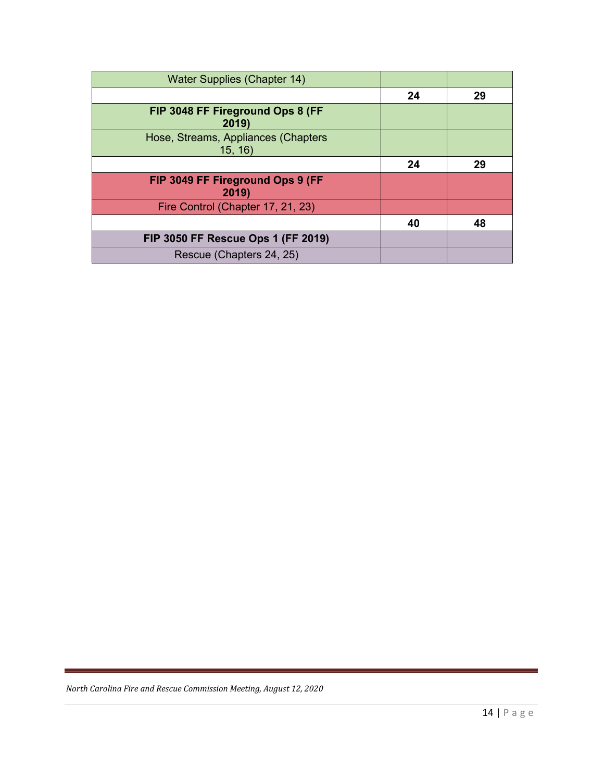| <b>Water Supplies (Chapter 14)</b>            |    |    |
|-----------------------------------------------|----|----|
|                                               | 24 | 29 |
| FIP 3048 FF Fireground Ops 8 (FF<br>2019)     |    |    |
| Hose, Streams, Appliances (Chapters<br>15, 16 |    |    |
|                                               | 24 | 29 |
| FIP 3049 FF Fireground Ops 9 (FF<br>2019)     |    |    |
| Fire Control (Chapter 17, 21, 23)             |    |    |
|                                               | 40 | 48 |
| FIP 3050 FF Rescue Ops 1 (FF 2019)            |    |    |
| Rescue (Chapters 24, 25)                      |    |    |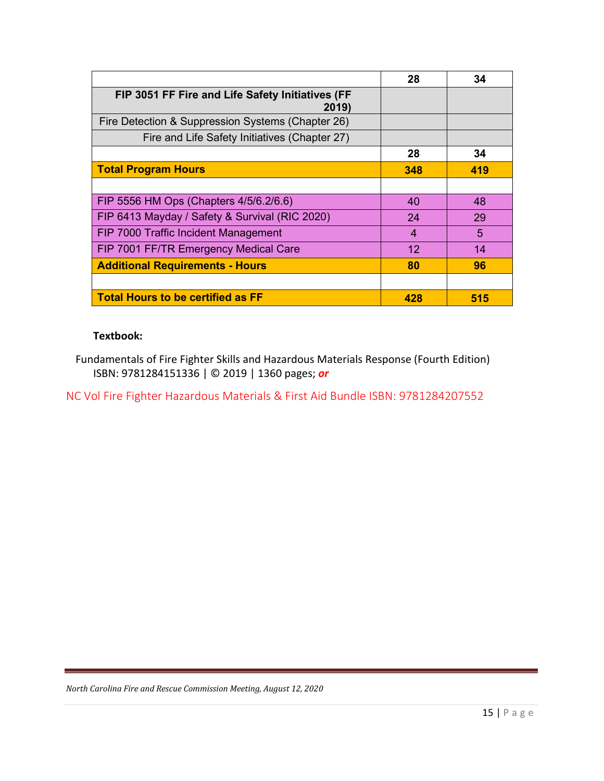|                                                           | 28  | 34  |
|-----------------------------------------------------------|-----|-----|
| FIP 3051 FF Fire and Life Safety Initiatives (FF<br>2019) |     |     |
| Fire Detection & Suppression Systems (Chapter 26)         |     |     |
| Fire and Life Safety Initiatives (Chapter 27)             |     |     |
|                                                           | 28  | 34  |
| <b>Total Program Hours</b>                                | 348 | 419 |
|                                                           |     |     |
| FIP 5556 HM Ops (Chapters 4/5/6.2/6.6)                    | 40  | 48  |
| FIP 6413 Mayday / Safety & Survival (RIC 2020)            | 24  | 29  |
| FIP 7000 Traffic Incident Management                      | 4   | 5   |
| FIP 7001 FF/TR Emergency Medical Care                     | 12  | 14  |
| <b>Additional Requirements - Hours</b>                    | 80  | 96  |
|                                                           |     |     |
| Total Hours to be certified as FF                         | 428 | 515 |

### **Textbook:**

Fundamentals of Fire Fighter Skills and Hazardous Materials Response (Fourth Edition) ISBN: 9781284151336 | © 2019 | 1360 pages; *or*

NC Vol Fire Fighter Hazardous Materials & First Aid Bundle ISBN: 9781284207552